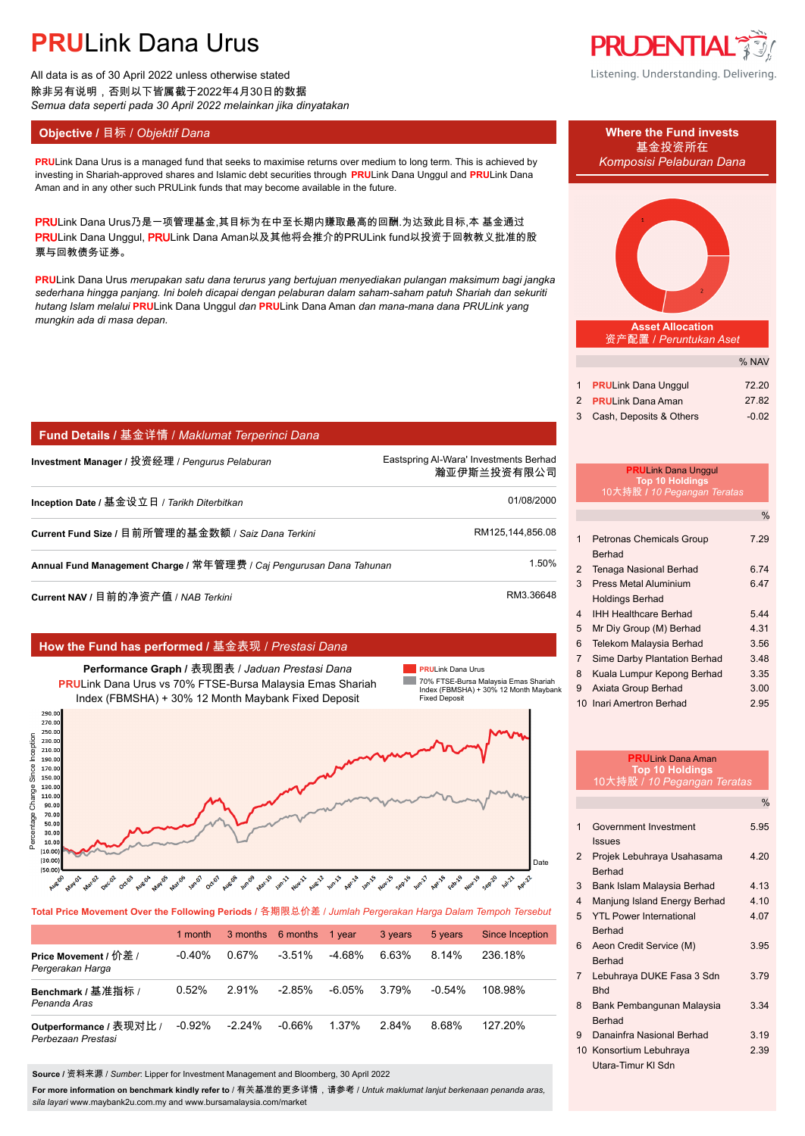All data is as of 30 April 2022 unless otherwise stated 除非另有说明,否则以下皆属截于2022年4月30日的数据 *Semua data seperti pada 30 April 2022 melainkan jika dinyatakan*

## **Objective /** 目标 / *Objektif Dana* **Where the Fund invests**

### **PRU**Link Dana Urus is a managed fund that seeks to maximise returns over medium to long term. This is achieved by *Komposisi Pelaburan Dana* investing in Shariah-approved shares and Islamic debt securities through **PRU**Link Dana Unggul and **PRU**Link Dana Aman and in any other such PRULink funds that may become available in the future.

PRULink Dana Urus乃是一项管理基金,其目标为在中至长期内赚取最高的回酬.为达致此目标,本 基金通过 PRULink Dana Unggul, PRULink Dana Aman以及其他将会推介的PRULink fund以投资于回教教义批准的股 票与回教债务证券。

**PRU**Link Dana Urus *merupakan satu dana terurus yang bertujuan menyediakan pulangan maksimum bagi jangka sederhana hingga panjang. Ini boleh dicapai dengan pelaburan dalam saham-saham patuh Shariah dan sekuriti hutang Islam melalui* **PRU**Link Dana Unggul *dan* **PRU**Link Dana Aman *dan mana-mana dana PRULink yang mungkin ada di masa depan.*

## **Fund Details /** 基金详情 / *Maklumat Terperinci Dana*

**Investment Manager /** 投资经理 / *Pengurus Pelaburan* Eastspring Al-Wara' Investments Berhad.

瀚亚伊斯兰投资有限公司.

| Inception Date / 基金设立日 / Tarikh Diterbitkan                         | 01/08/2000       |
|---------------------------------------------------------------------|------------------|
| Current Fund Size / 目前所管理的基金数额 / Saiz Dana Terkini                  | RM125.144.856.08 |
| Annual Fund Management Charge / 常年管理费 / Caj Pengurusan Dana Tahunan | 1.50%            |
|                                                                     |                  |

**Current NAV /** 目前的净资产值 / *NAB Terkini* RM3.36648

## **How the Fund has performed /** 基金表现 / *Prestasi Dana*

**Performance Graph /** 表现图表 / *Jaduan Prestasi Dana* **PRU**Link Dana Urus vs 70% FTSE-Bursa Malaysia Emas Shariah Index (FBMSHA) + 30% 12 Month Maybank Fixed Deposit





**Total Price Movement Over the Following Periods /** 各期限总价差 / *Jumlah Pergerakan Harga Dalam Tempoh Tersebut*

|                                               | 1 month  |           | 3 months 6 months | 1 vear    | 3 years | 5 years   | Since Inception |
|-----------------------------------------------|----------|-----------|-------------------|-----------|---------|-----------|-----------------|
| Price Movement / 价差 /<br>Pergerakan Harga     | $-0.40%$ | 0.67%     | $-3.51\%$         | $-4.68%$  | 6.63%   | 8.14%     | 236.18%         |
| Benchmark / 基准指标 /<br>Penanda Aras            | 0.52%    | 2.91%     | $-2.85\%$         | $-6.05\%$ | 3.79%   | $-0.54\%$ | 108.98%         |
| Outperformance / 表现对比 /<br>Perbezaan Prestasi | $-0.92%$ | $-2.24\%$ | $-0.66%$          | 1.37%     | 2.84%   | 8.68%     | 127.20%         |

**Source /** 资料来源 / *Sumber*: Lipper for Investment Management and Bloomberg, 30 April 2022

**For more information on benchmark kindly refer to** / 有关基准的更多详情,请参考 / *Untuk maklumat lanjut berkenaan penanda aras, sila layari* www.maybank2u.com.my and www.bursamalaysia.com/market



Listening. Understanding. Delivering.





**Asset Allocation** 资产配置 / *Peruntukan Aset*

|                           | % NAV   |
|---------------------------|---------|
| 1 PRULink Dana Unggul     | 72.20   |
| 2 PRULink Dana Aman       | 27.82   |
| 3 Cash, Deposits & Others | $-0.02$ |

\*\* \*\*\*\*

|                | <b>PRULink Dana Unggul</b><br><b>Top 10 Holdings</b><br>10大持股 / 10 Pegangan Teratas |               |
|----------------|-------------------------------------------------------------------------------------|---------------|
|                |                                                                                     | $\frac{0}{6}$ |
| 1              | <b>Petronas Chemicals Group</b><br>Berhad                                           | 7.29          |
| 2              | <b>Tenaga Nasional Berhad</b>                                                       | 6.74          |
| 3              | <b>Press Metal Aluminium</b>                                                        | 6.47          |
|                | <b>Holdings Berhad</b>                                                              |               |
| 4              | <b>IHH Healthcare Berhad</b>                                                        | 5.44          |
| 5              | Mr Diy Group (M) Berhad                                                             | 4.31          |
| 6              | Telekom Malaysia Berhad                                                             | 3.56          |
| $\overline{7}$ | Sime Darby Plantation Berhad                                                        | 3.48          |
| 8              | Kuala Lumpur Kepong Berhad                                                          | 3.35          |
| 9              | Axiata Group Berhad                                                                 | 3.00          |
| 10             | Inari Amertron Berhad                                                               | 2.95          |

|                | <b>PRU</b> I ink Dana Aman<br><b>Top 10 Holdings</b><br>10大持股 / 10 Pegangan Teratas |               |
|----------------|-------------------------------------------------------------------------------------|---------------|
|                |                                                                                     | $\frac{0}{0}$ |
| 1              | Government Investment<br><b>Issues</b>                                              | 5.95          |
| $\mathfrak{p}$ | Projek Lebuhraya Usahasama<br><b>Rerhad</b>                                         | 4.20          |
| $\mathcal{S}$  | Bank Islam Malaysia Berhad                                                          | 4 1 3         |
| 4              | Manjung Island Energy Berhad                                                        | 4.10          |
| 5              | <b>YTI Power International</b><br><b>Berhad</b>                                     | 4.07          |
| 6              | Aeon Credit Service (M)<br><b>Berhad</b>                                            | 3.95          |
| $\overline{7}$ | Lebuhraya DUKE Fasa 3 Sdn<br><b>Bhd</b>                                             | 3.79          |
| 8              | Bank Pembangunan Malaysia<br><b>Berhad</b>                                          | 3.34          |
| 9              | Danainfra Nasional Berhad                                                           | 3.19          |
|                | 10 Konsortium Lebuhraya<br>Utara-Timur KI Sdn                                       | 2.39          |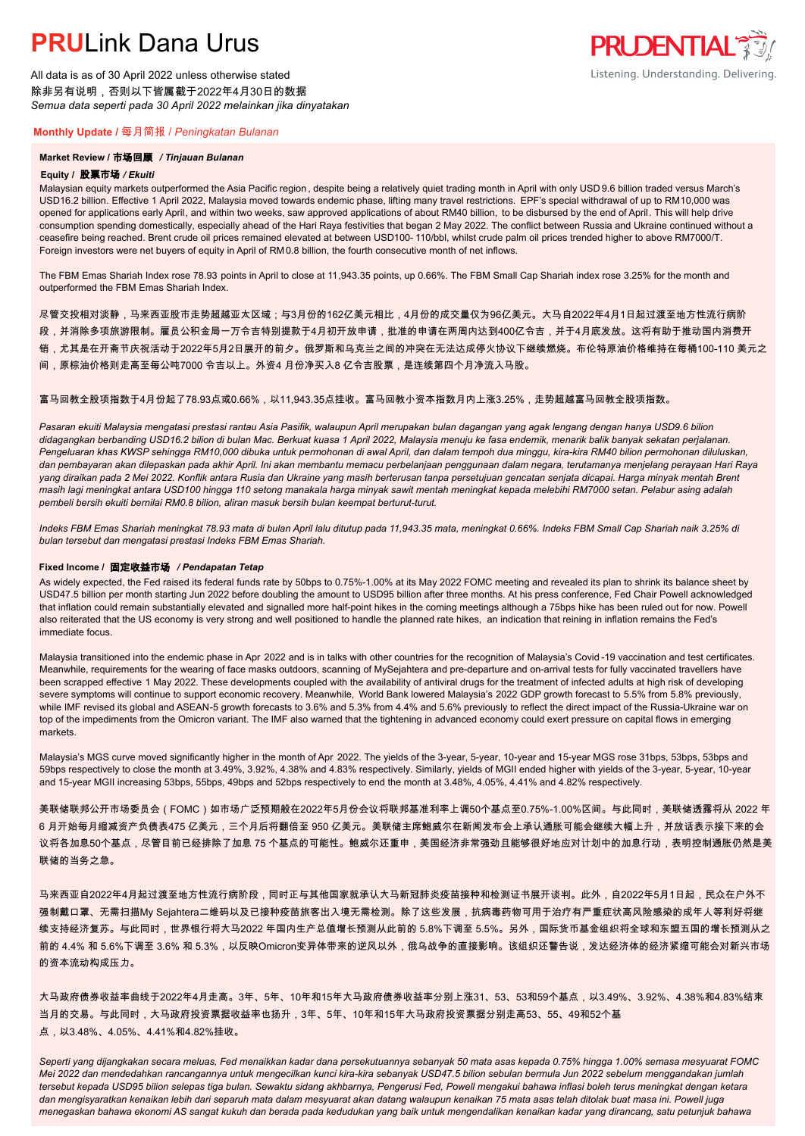All data is as of 30 April 2022 unless otherwise stated 除非另有说明,否则以下皆属截于2022年4月30日的数据 *Semua data seperti pada 30 April 2022 melainkan jika dinyatakan*

### **Monthly Update /** 每月简报 / *Peningkatan Bulanan*

### **Market Review /** 市场回顾 */ Tinjauan Bulanan*

#### **Equity /** 股票市场 */ Ekuiti.*

Malaysian equity markets outperformed the Asia Pacific region , despite being a relatively quiet trading month in April with only USD 9.6 billion traded versus March's USD16.2 billion. Effective 1 April 2022, Malaysia moved towards endemic phase, lifting many travel restrictions. EPF's special withdrawal of up to RM10,000 was opened for applications early April, and within two weeks, saw approved applications of about RM40 billion, to be disbursed by the end of April. This will help drive consumption spending domestically, especially ahead of the Hari Raya festivities that began 2 May 2022. The conflict between Russia and Ukraine continued without a ceasefire being reached. Brent crude oil prices remained elevated at between USD100- 110/bbl, whilst crude palm oil prices trended higher to above RM7000/T. Foreign investors were net buyers of equity in April of RM0.8 billion, the fourth consecutive month of net inflows.

The FBM Emas Shariah Index rose 78.93 points in April to close at 11,943.35 points, up 0.66%. The FBM Small Cap Shariah index rose 3.25% for the month and outperformed the FBM Emas Shariah Index.

尽管交投相对淡静,马来西亚股市走势超越亚太区域;与3月份的162亿美元相比,4月份的成交量仅为96亿美元。大马自2022年4月1日起过渡至地方性流行病阶

- 段,并消除多项旅游限制。雇员公积金局一万令吉特别提款于4月初开放申请,批准的申请在两周内达到400亿令吉,并于4月底发放。这将有助于推动国内消费开
- 销,尤其是在开斋节庆祝活动于2022年5月2日展开的前夕。俄罗斯和乌克兰之间的冲突在无法达成停火协议下继续燃烧。布伦特原油价格维持在每桶100-110 美元之
- 间,原棕油价格则走高至每公吨7000 令吉以上。外资4 月份净买入8 亿令吉股票,是连续第四个月净流入马股。

### 富马回教全股项指数于4月份起了78.93点或0.66%,以11,943.35点挂收。富马回教小资本指数月内上涨3.25%,走势超越富马回教全股项指数。

*Pasaran ekuiti Malaysia mengatasi prestasi rantau Asia Pasifik, walaupun April merupakan bulan dagangan yang agak lengang dengan hanya USD9.6 bilion didagangkan berbanding USD16.2 bilion di bulan Mac. Berkuat kuasa 1 April 2022, Malaysia menuju ke fasa endemik, menarik balik banyak sekatan perjalanan. Pengeluaran khas KWSP sehingga RM10,000 dibuka untuk permohonan di awal April, dan dalam tempoh dua minggu, kira-kira RM40 bilion permohonan diluluskan, dan pembayaran akan dilepaskan pada akhir April. Ini akan membantu memacu perbelanjaan penggunaan dalam negara, terutamanya menjelang perayaan Hari Raya yang diraikan pada 2 Mei 2022. Konflik antara Rusia dan Ukraine yang masih berterusan tanpa persetujuan gencatan senjata dicapai. Harga minyak mentah Brent masih lagi meningkat antara USD100 hingga 110 setong manakala harga minyak sawit mentah meningkat kepada melebihi RM7000 setan. Pelabur asing adalah pembeli bersih ekuiti bernilai RM0.8 bilion, aliran masuk bersih bulan keempat berturut-turut.*

*Indeks FBM Emas Shariah meningkat 78.93 mata di bulan April lalu ditutup pada 11,943.35 mata, meningkat 0.66%. Indeks FBM Small Cap Shariah naik 3.25% di bulan tersebut dan mengatasi prestasi Indeks FBM Emas Shariah.*

#### **Fixed Income /** 固定收益市场 */ Pendapatan Tetap*

*.* As widely expected, the Fed raised its federal funds rate by 50bps to 0.75%-1.00% at its May 2022 FOMC meeting and revealed its plan to shrink its balance sheet by USD47.5 billion per month starting Jun 2022 before doubling the amount to USD95 billion after three months. At his press conference, Fed Chair Powell acknowledged that inflation could remain substantially elevated and signalled more half-point hikes in the coming meetings although a 75bps hike has been ruled out for now. Powell also reiterated that the US economy is very strong and well positioned to handle the planned rate hikes, an indication that reining in inflation remains the Fed's immediate focus.

Malaysia transitioned into the endemic phase in Apr 2022 and is in talks with other countries for the recognition of Malaysia's Covid -19 vaccination and test certificates. Meanwhile, requirements for the wearing of face masks outdoors, scanning of MySejahtera and pre-departure and on-arrival tests for fully vaccinated travellers have been scrapped effective 1 May 2022. These developments coupled with the availability of antiviral drugs for the treatment of infected adults at high risk of developing severe symptoms will continue to support economic recovery. Meanwhile, World Bank lowered Malaysia's 2022 GDP growth forecast to 5.5% from 5.8% previously, while IMF revised its global and ASEAN-5 growth forecasts to 3.6% and 5.3% from 4.4% and 5.6% previously to reflect the direct impact of the Russia-Ukraine war on top of the impediments from the Omicron variant. The IMF also warned that the tightening in advanced economy could exert pressure on capital flows in emerging markets.

Malaysia's MGS curve moved significantly higher in the month of Apr 2022. The yields of the 3-year, 5-year, 10-year and 15-year MGS rose 31bps, 53bps, 53bps and 59bps respectively to close the month at 3.49%, 3.92%, 4.38% and 4.83% respectively. Similarly, yields of MGII ended higher with yields of the 3-year, 5-year, 10-year and 15-year MGII increasing 53bps, 55bps, 49bps and 52bps respectively to end the month at 3.48%, 4.05%, 4.41% and 4.82% respectively.

美联储联邦公开市场委员会(FOMC)如市场广泛预期般在2022年5月份会议将联邦基准利率上调50个基点至0.75%-1.00%区间。与此同时,美联储透露将从 2022 年 6 月开始每月缩减资产负债表475 亿美元,三个月后将翻倍至 950 亿美元。美联储主席鲍威尔在新闻发布会上承认通胀可能会继续大幅上升,并放话表示接下来的会 议将各加息50个基点,尽管目前已经排除了加息 75 个基点的可能性。鲍威尔还重申,美国经济非常强劲且能够很好地应对计划中的加息行动,表明控制通胀仍然是美 联储的当务之急。

马来西亚自2022年4月起过渡至地方性流行病阶段,同时正与其他国家就承认大马新冠肺炎疫苗接种和检测证书展开谈判。此外,自2022年5月1日起,民众在户外不 强制戴口罩、无需扫描My Sejahtera二维码以及已接种疫苗旅客出入境无需检测。除了这些发展,抗病毒药物可用于治疗有严重症状高风险感染的成年人等利好将继 续支持经济复苏。与此同时,世界银行将大马2022 年国内生产总值增长预测从此前的 5.8%下调至 5.5%。另外,国际货币基金组织将全球和东盟五国的增长预测从之 前的 4.4% 和 5.6%下调至 3.6% 和 5.3%,以反映Omicron变异体带来的逆风以外,俄乌战争的直接影响。该组织还警告说,发达经济体的经济紧缩可能会对新兴市场 的资本流动构成压力。

大马政府债券收益率曲线于2022年4月走高。3年、5年、10年和15年大马政府债券收益率分别上涨31、53、53和59个基点,以3.49%、3.92%、4.38%和4.83%结束 当月的交易。与此同时,大马政府投资票据收益率也扬升,3年、5年、10年和15年大马政府投资票据分别走高53、55、49和52个基 点,以3.48%、4.05%、4.41%和4.82%挂收。

*Seperti yang dijangkakan secara meluas, Fed menaikkan kadar dana persekutuannya sebanyak 50 mata asas kepada 0.75% hingga 1.00% semasa mesyuarat FOMC Mei 2022 dan mendedahkan rancangannya untuk mengecilkan kunci kira-kira sebanyak USD47.5 bilion sebulan bermula Jun 2022 sebelum menggandakan jumlah tersebut kepada USD95 bilion selepas tiga bulan. Sewaktu sidang akhbarnya, Pengerusi Fed, Powell mengakui bahawa inflasi boleh terus meningkat dengan ketara dan mengisyaratkan kenaikan lebih dari separuh mata dalam mesyuarat akan datang walaupun kenaikan 75 mata asas telah ditolak buat masa ini. Powell juga menegaskan bahawa ekonomi AS sangat kukuh dan berada pada kedudukan yang baik untuk mengendalikan kenaikan kadar yang dirancang, satu petunjuk bahawa* 

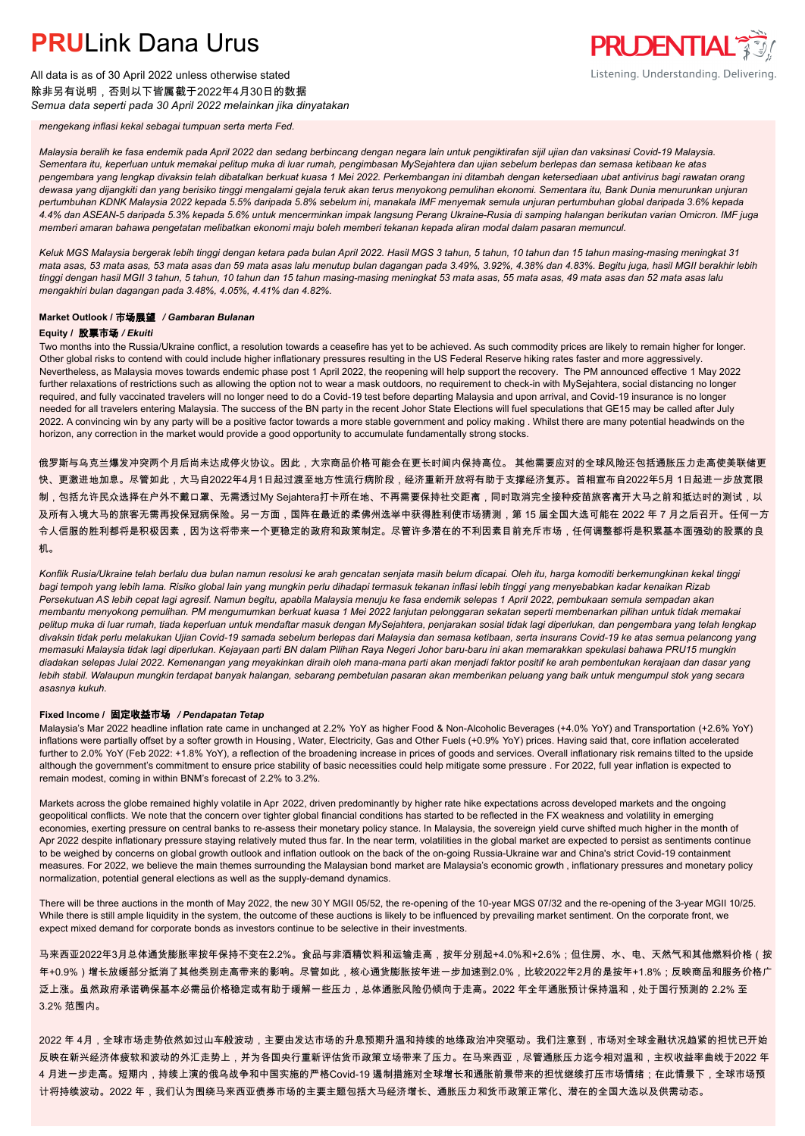All data is as of 30 April 2022 unless otherwise stated 除非另有说明,否则以下皆属截于2022年4月30日的数据 *Semua data seperti pada 30 April 2022 melainkan jika dinyatakan* **PRUDENTIAL** Listening. Understanding. Delivering.

*mengekang inflasi kekal sebagai tumpuan serta merta Fed.*

*Malaysia beralih ke fasa endemik pada April 2022 dan sedang berbincang dengan negara lain untuk pengiktirafan sijil ujian dan vaksinasi Covid-19 Malaysia. Sementara itu, keperluan untuk memakai pelitup muka di luar rumah, pengimbasan MySejahtera dan ujian sebelum berlepas dan semasa ketibaan ke atas pengembara yang lengkap divaksin telah dibatalkan berkuat kuasa 1 Mei 2022. Perkembangan ini ditambah dengan ketersediaan ubat antivirus bagi rawatan orang dewasa yang dijangkiti dan yang berisiko tinggi mengalami gejala teruk akan terus menyokong pemulihan ekonomi. Sementara itu, Bank Dunia menurunkan unjuran pertumbuhan KDNK Malaysia 2022 kepada 5.5% daripada 5.8% sebelum ini, manakala IMF menyemak semula unjuran pertumbuhan global daripada 3.6% kepada 4.4% dan ASEAN-5 daripada 5.3% kepada 5.6% untuk mencerminkan impak langsung Perang Ukraine-Rusia di samping halangan berikutan varian Omicron. IMF juga memberi amaran bahawa pengetatan melibatkan ekonomi maju boleh memberi tekanan kepada aliran modal dalam pasaran memuncul.*

*Keluk MGS Malaysia bergerak lebih tinggi dengan ketara pada bulan April 2022. Hasil MGS 3 tahun, 5 tahun, 10 tahun dan 15 tahun masing-masing meningkat 31 mata asas, 53 mata asas, 53 mata asas dan 59 mata asas lalu menutup bulan dagangan pada 3.49%, 3.92%, 4.38% dan 4.83%. Begitu juga, hasil MGII berakhir lebih tinggi dengan hasil MGII 3 tahun, 5 tahun, 10 tahun dan 15 tahun masing-masing meningkat 53 mata asas, 55 mata asas, 49 mata asas dan 52 mata asas lalu mengakhiri bulan dagangan pada 3.48%, 4.05%, 4.41% dan 4.82%.*

#### **Market Outlook /** 市场展望 */ Gambaran Bulanan*

#### **Equity /** 股票市场 */ Ekuiti*

Two months into the Russia/Ukraine conflict, a resolution towards a ceasefire has yet to be achieved. As such commodity prices are likely to remain higher for longer. Other global risks to contend with could include higher inflationary pressures resulting in the US Federal Reserve hiking rates faster and more aggressively. Nevertheless, as Malaysia moves towards endemic phase post 1 April 2022, the reopening will help support the recovery. The PM announced effective 1 May 2022 further relaxations of restrictions such as allowing the option not to wear a mask outdoors, no requirement to check-in with MySejahtera, social distancing no longer required, and fully vaccinated travelers will no longer need to do a Covid-19 test before departing Malaysia and upon arrival, and Covid-19 insurance is no longer needed for all travelers entering Malaysia. The success of the BN party in the recent Johor State Elections will fuel speculations that GE15 may be called after July 2022. A convincing win by any party will be a positive factor towards a more stable government and policy making . Whilst there are many potential headwinds on the horizon, any correction in the market would provide a good opportunity to accumulate fundamentally strong stocks.

俄罗斯与乌克兰爆发冲突两个月后尚未达成停火协议。因此,大宗商品价格可能会在更长时间内保持高位。 其他需要应对的全球风险还包括通胀压力走高使美联储更 快、更激进地加息。尽管如此,大马自2022年4月1日起过渡至地方性流行病阶段,经济重新开放将有助于支撑经济复苏。首相宣布自2022年5月 1日起进一步放宽限 制,包括允许民众选择在户外不戴口罩、无需透过My Sejahtera打卡所在地、不再需要保持社交距离,同时取消完全接种疫苗旅客离开大马之前和抵达时的测试,以 及所有入境大马的旅客无需再投保冠病保险。另一方面,国阵在最近的柔佛州选举中获得胜利使市场猜测,第 15 届全国大选可能在 2022 年 7 月之后召开。任何一方 令人信服的胜利都将是积极因素,因为这将带来一个更稳定的政府和政策制定。尽管许多潜在的不利因素目前充斥市场,任何调整都将是积累基本面强劲的股票的良 机。

*Konflik Rusia/Ukraine telah berlalu dua bulan namun resolusi ke arah gencatan senjata masih belum dicapai. Oleh itu, harga komoditi berkemungkinan kekal tinggi bagi tempoh yang lebih lama. Risiko global lain yang mungkin perlu dihadapi termasuk tekanan inflasi lebih tinggi yang menyebabkan kadar kenaikan Rizab Persekutuan AS lebih cepat lagi agresif. Namun begitu, apabila Malaysia menuju ke fasa endemik selepas 1 April 2022, pembukaan semula sempadan akan membantu menyokong pemulihan. PM mengumumkan berkuat kuasa 1 Mei 2022 lanjutan pelonggaran sekatan seperti membenarkan pilihan untuk tidak memakai pelitup muka di luar rumah, tiada keperluan untuk mendaftar masuk dengan MySejahtera, penjarakan sosial tidak lagi diperlukan, dan pengembara yang telah lengkap divaksin tidak perlu melakukan Ujian Covid-19 samada sebelum berlepas dari Malaysia dan semasa ketibaan, serta insurans Covid-19 ke atas semua pelancong yang memasuki Malaysia tidak lagi diperlukan. Kejayaan parti BN dalam Pilihan Raya Negeri Johor baru-baru ini akan memarakkan spekulasi bahawa PRU15 mungkin diadakan selepas Julai 2022. Kemenangan yang meyakinkan diraih oleh mana-mana parti akan menjadi faktor positif ke arah pembentukan kerajaan dan dasar yang lebih stabil. Walaupun mungkin terdapat banyak halangan, sebarang pembetulan pasaran akan memberikan peluang yang baik untuk mengumpul stok yang secara asasnya kukuh.*

#### **Fixed Income /** 固定收益市场 */ Pendapatan Tetap*

*.* Malaysia's Mar 2022 headline inflation rate came in unchanged at 2.2% YoY as higher Food & Non-Alcoholic Beverages (+4.0% YoY) and Transportation (+2.6% YoY) inflations were partially offset by a softer growth in Housing, Water, Electricity, Gas and Other Fuels (+0.9% YoY) prices. Having said that, core inflation accelerated further to 2.0% YoY (Feb 2022: +1.8% YoY), a reflection of the broadening increase in prices of goods and services. Overall inflationary risk remains tilted to the upside although the government's commitment to ensure price stability of basic necessities could help mitigate some pressure . For 2022, full year inflation is expected to remain modest, coming in within BNM's forecast of 2.2% to 3.2%.

Markets across the globe remained highly volatile in Apr 2022, driven predominantly by higher rate hike expectations across developed markets and the ongoing geopolitical conflicts. We note that the concern over tighter global financial conditions has started to be reflected in the FX weakness and volatility in emerging economies, exerting pressure on central banks to re-assess their monetary policy stance. In Malaysia, the sovereign yield curve shifted much higher in the month of Apr 2022 despite inflationary pressure staying relatively muted thus far. In the near term, volatilities in the global market are expected to persist as sentiments continue to be weighed by concerns on global growth outlook and inflation outlook on the back of the on-going Russia-Ukraine war and China's strict Covid-19 containment measures. For 2022, we believe the main themes surrounding the Malaysian bond market are Malaysia's economic growth , inflationary pressures and monetary policy normalization, potential general elections as well as the supply-demand dynamics.

There will be three auctions in the month of May 2022, the new 30Y MGII 05/52, the re-opening of the 10-year MGS 07/32 and the re-opening of the 3-year MGII 10/25. While there is still ample liquidity in the system, the outcome of these auctions is likely to be influenced by prevailing market sentiment. On the corporate front, we expect mixed demand for corporate bonds as investors continue to be selective in their investments.

马来西亚2022年3月总体通货膨胀率按年保持不变在2.2%。食品与非酒精饮料和运输走高,按年分别起+4.0%和+2.6%;但住房、水、电、天然气和其他燃料价格(按 年+0.9%)增长放缓部分抵消了其他类别走高带来的影响。尽管如此,核心通货膨胀按年进一步加速到2.0%,比较2022年2月的是按年+1.8%;反映商品和服务价格广 泛上涨。虽然政府承诺确保基本必需品价格稳定或有助于缓解一些压力,总体通胀风险仍倾向于走高。2022 年全年通胀预计保持温和,处于国行预测的 2.2% 至 3.2% 范围内。

2022 年 4月,全球市场走势依然如过山车般波动,主要由发达市场的升息预期升温和持续的地缘政治冲突驱动。我们注意到,市场对全球金融状况趋紧的担忧已开始 反映在新兴经济体疲软和波动的外汇走势上,并为各国央行重新评估货币政策立场带来了压力。在马来西亚,尽管通胀压力迄今相对温和,主权收益率曲线于2022 年 4 月进一步走高。短期内,持续上演的俄乌战争和中国实施的严格Covid-19 遏制措施对全球增长和通胀前景带来的担忧继续打压市场情绪;在此情景下,全球市场预 计将持续波动。2022 年,我们认为围绕马来西亚债券市场的主要主题包括大马经济增长、通胀压力和货币政策正常化、潜在的全国大选以及供需动态。